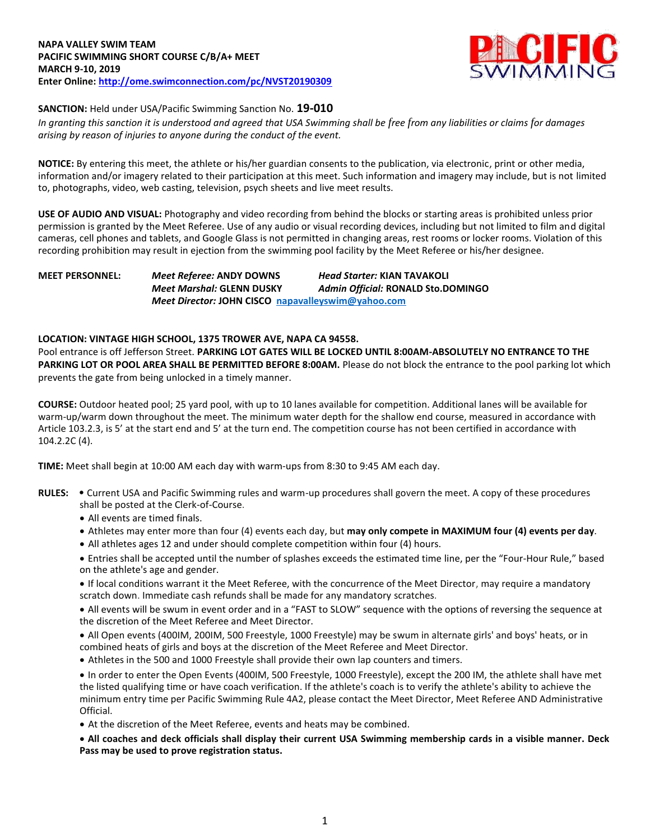

# **SANCTION:** Held under USA/Pacific Swimming Sanction No. **19-010**

*In granting this sanction it is understood and agreed that USA Swimming shall be free from any liabilities or claims for damages arising by reason of injuries to anyone during the conduct of the event.*

**NOTICE:** By entering this meet, the athlete or his/her guardian consents to the publication, via electronic, print or other media, information and/or imagery related to their participation at this meet. Such information and imagery may include, but is not limited to, photographs, video, web casting, television, psych sheets and live meet results.

**USE OF AUDIO AND VISUAL:** Photography and video recording from behind the blocks or starting areas is prohibited unless prior permission is granted by the Meet Referee. Use of any audio or visual recording devices, including but not limited to film and digital cameras, cell phones and tablets, and Google Glass is not permitted in changing areas, rest rooms or locker rooms. Violation of this recording prohibition may result in ejection from the swimming pool facility by the Meet Referee or his/her designee.

**MEET PERSONNEL:** *Meet Referee:* **ANDY DOWNS** *Head Starter:* **KIAN TAVAKOLI** *Meet Marshal:* **GLENN DUSKY** *Admin Official:* **RONALD Sto.DOMINGO** *Meet Director:* **JOHN CISCO [napavalleyswim@yahoo.com](mailto:napavalleyswim@yahoo.com)**

# **LOCATION: VINTAGE HIGH SCHOOL, 1375 TROWER AVE, NAPA CA 94558.**

Pool entrance is off Jefferson Street. **PARKING LOT GATES WILL BE LOCKED UNTIL 8:00AM-ABSOLUTELY NO ENTRANCE TO THE**  PARKING LOT OR POOL AREA SHALL BE PERMITTED BEFORE 8:00AM. Please do not block the entrance to the pool parking lot which prevents the gate from being unlocked in a timely manner.

**COURSE:** Outdoor heated pool; 25 yard pool, with up to 10 lanes available for competition. Additional lanes will be available for warm-up/warm down throughout the meet. The minimum water depth for the shallow end course, measured in accordance with Article 103.2.3, is 5' at the start end and 5' at the turn end. The competition course has not been certified in accordance with 104.2.2C (4).

**TIME:** Meet shall begin at 10:00 AM each day with warm-ups from 8:30 to 9:45 AM each day.

- **RULES:** Current USA and Pacific Swimming rules and warm-up procedures shall govern the meet. A copy of these procedures shall be posted at the Clerk-of-Course.
	- All events are timed finals.
	- Athletes may enter more than four (4) events each day, but **may only compete in MAXIMUM four (4) events per day**.
	- All athletes ages 12 and under should complete competition within four (4) hours.

 Entries shall be accepted until the number of splashes exceeds the estimated time line, per the "Four-Hour Rule," based on the athlete's age and gender.

 If local conditions warrant it the Meet Referee, with the concurrence of the Meet Director, may require a mandatory scratch down. Immediate cash refunds shall be made for any mandatory scratches.

 All events will be swum in event order and in a "FAST to SLOW" sequence with the options of reversing the sequence at the discretion of the Meet Referee and Meet Director.

- All Open events (400IM, 200IM, 500 Freestyle, 1000 Freestyle) may be swum in alternate girls' and boys' heats, or in combined heats of girls and boys at the discretion of the Meet Referee and Meet Director.
- Athletes in the 500 and 1000 Freestyle shall provide their own lap counters and timers.

 In order to enter the Open Events (400IM, 500 Freestyle, 1000 Freestyle), except the 200 IM, the athlete shall have met the listed qualifying time or have coach verification. If the athlete's coach is to verify the athlete's ability to achieve the minimum entry time per Pacific Swimming Rule 4A2, please contact the Meet Director, Meet Referee AND Administrative Official.

At the discretion of the Meet Referee, events and heats may be combined.

 **All coaches and deck officials shall display their current USA Swimming membership cards in a visible manner. Deck Pass may be used to prove registration status.**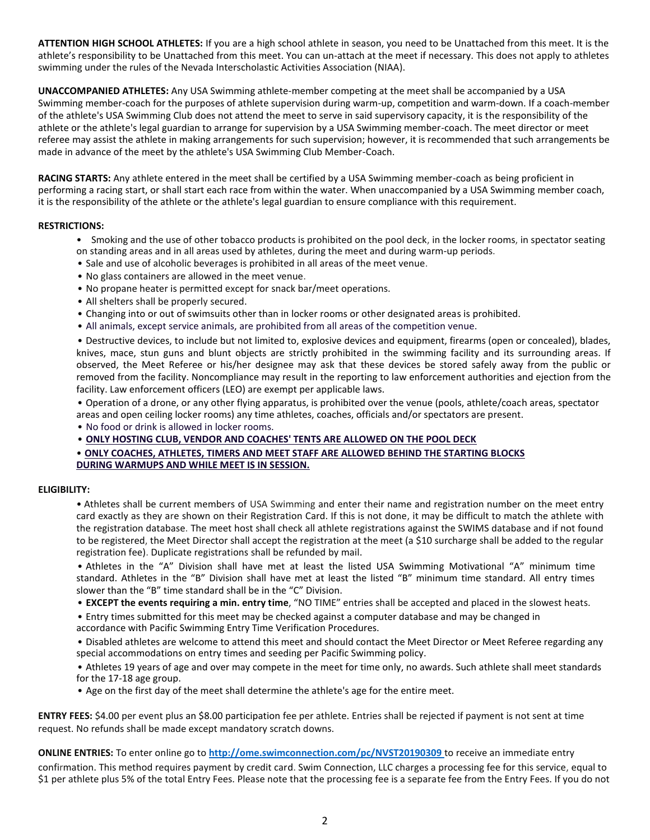**ATTENTION HIGH SCHOOL ATHLETES:** If you are a high school athlete in season, you need to be Unattached from this meet. It is the athlete's responsibility to be Unattached from this meet. You can un-attach at the meet if necessary. This does not apply to athletes swimming under the rules of the Nevada Interscholastic Activities Association (NIAA).

**UNACCOMPANIED ATHLETES:** Any USA Swimming athlete-member competing at the meet shall be accompanied by a USA Swimming member-coach for the purposes of athlete supervision during warm-up, competition and warm-down. If a coach-member of the athlete's USA Swimming Club does not attend the meet to serve in said supervisory capacity, it is the responsibility of the athlete or the athlete's legal guardian to arrange for supervision by a USA Swimming member-coach. The meet director or meet referee may assist the athlete in making arrangements for such supervision; however, it is recommended that such arrangements be made in advance of the meet by the athlete's USA Swimming Club Member-Coach.

**RACING STARTS:** Any athlete entered in the meet shall be certified by a USA Swimming member-coach as being proficient in performing a racing start, or shall start each race from within the water. When unaccompanied by a USA Swimming member coach, it is the responsibility of the athlete or the athlete's legal guardian to ensure compliance with this requirement.

# **RESTRICTIONS:**

- Smoking and the use of other tobacco products is prohibited on the pool deck, in the locker rooms, in spectator seating on standing areas and in all areas used by athletes, during the meet and during warm-up periods.
- Sale and use of alcoholic beverages is prohibited in all areas of the meet venue.
- No glass containers are allowed in the meet venue.
- No propane heater is permitted except for snack bar/meet operations.
- All shelters shall be properly secured.
- Changing into or out of swimsuits other than in locker rooms or other designated areas is prohibited.
- All animals, except service animals, are prohibited from all areas of the competition venue.

• Destructive devices, to include but not limited to, explosive devices and equipment, firearms (open or concealed), blades, knives, mace, stun guns and blunt objects are strictly prohibited in the swimming facility and its surrounding areas. If observed, the Meet Referee or his/her designee may ask that these devices be stored safely away from the public or removed from the facility. Noncompliance may result in the reporting to law enforcement authorities and ejection from the facility. Law enforcement officers (LEO) are exempt per applicable laws.

• Operation of a drone, or any other flying apparatus, is prohibited over the venue (pools, athlete/coach areas, spectator areas and open ceiling locker rooms) any time athletes, coaches, officials and/or spectators are present.

• No food or drink is allowed in locker rooms.

• **ONLY HOSTING CLUB, VENDOR AND COACHES' TENTS ARE ALLOWED ON THE POOL DECK**

• **ONLY COACHES, ATHLETES, TIMERS AND MEET STAFF ARE ALLOWED BEHIND THE STARTING BLOCKS DURING WARMUPS AND WHILE MEET IS IN SESSION.**

#### **ELIGIBILITY:**

• Athletes shall be current members of USA Swimming and enter their name and registration number on the meet entry card exactly as they are shown on their Registration Card. If this is not done, it may be difficult to match the athlete with the registration database. The meet host shall check all athlete registrations against the SWIMS database and if not found to be registered, the Meet Director shall accept the registration at the meet (a \$10 surcharge shall be added to the regular registration fee). Duplicate registrations shall be refunded by mail.

• Athletes in the "A" Division shall have met at least the listed USA Swimming Motivational "A" minimum time standard. Athletes in the "B" Division shall have met at least the listed "B" minimum time standard. All entry times slower than the "B" time standard shall be in the "C" Division.

• **EXCEPT the events requiring a min. entry time**, "NO TIME" entries shall be accepted and placed in the slowest heats.

• Entry times submitted for this meet may be checked against a computer database and may be changed in

accordance with Pacific Swimming Entry Time Verification Procedures.

• Disabled athletes are welcome to attend this meet and should contact the Meet Director or Meet Referee regarding any special accommodations on entry times and seeding per Pacific Swimming policy.

• Athletes 19 years of age and over may compete in the meet for time only, no awards. Such athlete shall meet standards for the 17-18 age group.

• Age on the first day of the meet shall determine the athlete's age for the entire meet.

**ENTRY FEES:** \$4.00 per event plus an \$8.00 participation fee per athlete. Entries shall be rejected if payment is not sent at time request. No refunds shall be made except mandatory scratch downs.

**ONLINE ENTRIES:** To enter online go to **<http://ome.swimconnection.com/pc/NVST20190309>**to receive an immediate entry confirmation. This method requires payment by credit card. Swim Connection, LLC charges a processing fee for this service, equal to \$1 per athlete plus 5% of the total Entry Fees. Please note that the processing fee is a separate fee from the Entry Fees. If you do not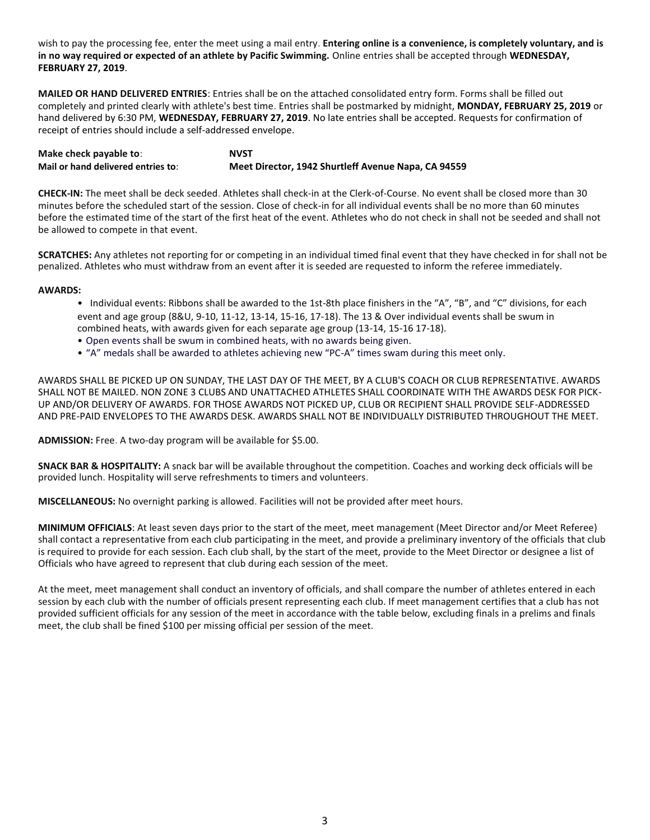wish to pay the processing fee, enter the meet using a mail entry. **Entering online is a convenience, is completely voluntary, and is in no way required or expected of an athlete by Pacific Swimming.** Online entries shall be accepted through **WEDNESDAY, FEBRUARY 27, 2019**.

**MAILED OR HAND DELIVERED ENTRIES**: Entries shall be on the attached consolidated entry form. Forms shall be filled out completely and printed clearly with athlete's best time. Entries shall be postmarked by midnight, **MONDAY, FEBRUARY 25, 2019** or hand delivered by 6:30 PM, **WEDNESDAY, FEBRUARY 27, 2019**. No late entries shall be accepted. Requests for confirmation of receipt of entries should include a self-addressed envelope.

**Make check payable to**: **Mail or hand delivered entries to**: **NVST Meet Director, 1942 Shurtleff Avenue Napa, CA 94559**

**CHECK-IN:** The meet shall be deck seeded. Athletes shall check-in at the Clerk-of-Course. No event shall be closed more than 30 minutes before the scheduled start of the session. Close of check-in for all individual events shall be no more than 60 minutes before the estimated time of the start of the first heat of the event. Athletes who do not check in shall not be seeded and shall not be allowed to compete in that event.

**SCRATCHES:** Any athletes not reporting for or competing in an individual timed final event that they have checked in for shall not be penalized. Athletes who must withdraw from an event after it is seeded are requested to inform the referee immediately.

# **AWARDS:**

- Individual events: Ribbons shall be awarded to the 1st-8th place finishers in the "A", "B", and "C" divisions, for each event and age group (8&U, 9-10, 11-12, 13-14, 15-16, 17-18). The 13 & Over individual events shall be swum in combined heats, with awards given for each separate age group (13-14, 15-16 17-18).
- Open events shall be swum in combined heats, with no awards being given.
- "A" medals shall be awarded to athletes achieving new "PC-A" times swam during this meet only.

AWARDS SHALL BE PICKED UP ON SUNDAY, THE LAST DAY OF THE MEET, BY A CLUB'S COACH OR CLUB REPRESENTATIVE. AWARDS SHALL NOT BE MAILED. NON ZONE 3 CLUBS AND UNATTACHED ATHLETES SHALL COORDINATE WITH THE AWARDS DESK FOR PICK-UP AND/OR DELIVERY OF AWARDS. FOR THOSE AWARDS NOT PICKED UP, CLUB OR RECIPIENT SHALL PROVIDE SELF-ADDRESSED AND PRE-PAID ENVELOPES TO THE AWARDS DESK. AWARDS SHALL NOT BE INDIVIDUALLY DISTRIBUTED THROUGHOUT THE MEET.

**ADMISSION:** Free. A two-day program will be available for \$5.00.

**SNACK BAR & HOSPITALITY:** A snack bar will be available throughout the competition. Coaches and working deck officials will be provided lunch. Hospitality will serve refreshments to timers and volunteers.

**MISCELLANEOUS:** No overnight parking is allowed. Facilities will not be provided after meet hours.

**MINIMUM OFFICIALS**: At least seven days prior to the start of the meet, meet management (Meet Director and/or Meet Referee) shall contact a representative from each club participating in the meet, and provide a preliminary inventory of the officials that club is required to provide for each session. Each club shall, by the start of the meet, provide to the Meet Director or designee a list of Officials who have agreed to represent that club during each session of the meet.

At the meet, meet management shall conduct an inventory of officials, and shall compare the number of athletes entered in each session by each club with the number of officials present representing each club. If meet management certifies that a club has not provided sufficient officials for any session of the meet in accordance with the table below, excluding finals in a prelims and finals meet, the club shall be fined \$100 per missing official per session of the meet.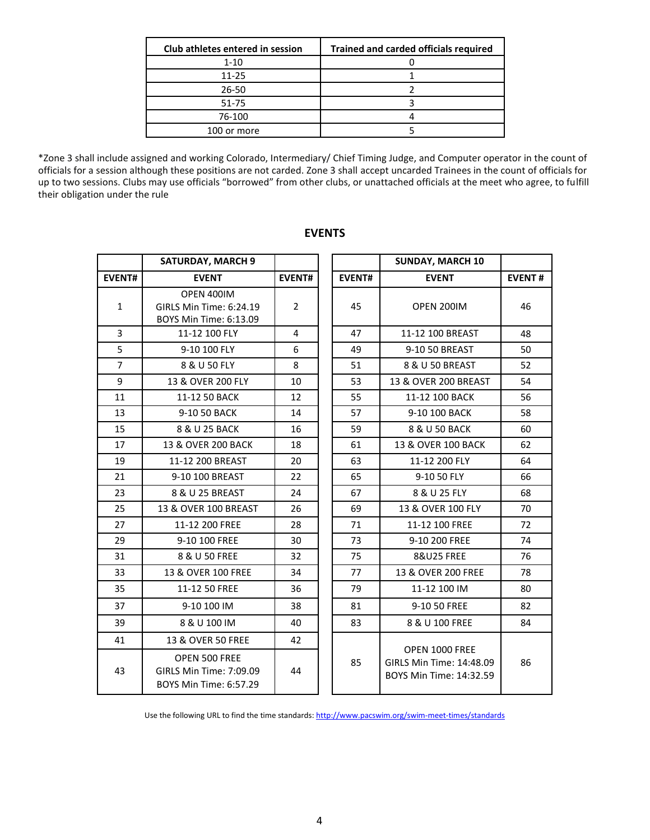| Club athletes entered in session | <b>Trained and carded officials required</b> |
|----------------------------------|----------------------------------------------|
| $1 - 10$                         |                                              |
| 11-25                            |                                              |
| 26-50                            |                                              |
| 51-75                            |                                              |
| 76-100                           |                                              |
| 100 or more                      |                                              |

\*Zone 3 shall include assigned and working Colorado, Intermediary/ Chief Timing Judge, and Computer operator in the count of officials for a session although these positions are not carded. Zone 3 shall accept uncarded Trainees in the count of officials for up to two sessions. Clubs may use officials "borrowed" from other clubs, or unattached officials at the meet who agree, to fulfill their obligation under the rule

|                | <b>SATURDAY, MARCH 9</b>                                           |                |               | <b>SUNDAY, MARCH 10</b>                                               |               |
|----------------|--------------------------------------------------------------------|----------------|---------------|-----------------------------------------------------------------------|---------------|
| <b>EVENT#</b>  | <b>EVENT</b>                                                       | <b>EVENT#</b>  | <b>EVENT#</b> | <b>EVENT</b>                                                          | <b>EVENT#</b> |
| $\mathbf{1}$   | OPEN 400IM<br>GIRLS Min Time: 6:24.19<br>BOYS Min Time: 6:13.09    | $\overline{2}$ | 45            | OPEN 200IM                                                            | 46            |
| $\overline{3}$ | 11-12 100 FLY                                                      | 4              | 47            | 11-12 100 BREAST                                                      | 48            |
| 5              | 9-10 100 FLY                                                       | 6              | 49            | 9-10 50 BREAST                                                        | 50            |
| $\overline{7}$ | 8 & U 50 FLY                                                       | 8              | 51            | 8 & U 50 BREAST                                                       | 52            |
| 9              | 13 & OVER 200 FLY                                                  | 10             | 53            | 13 & OVER 200 BREAST                                                  | 54            |
| 11             | 11-12 50 BACK                                                      | 12             | 55            | 11-12 100 BACK                                                        | 56            |
| 13             | 9-10 50 BACK                                                       | 14             | 57            | 9-10 100 BACK                                                         | 58            |
| 15             | 8 & U 25 BACK                                                      | 16             | 59            | 8 & U 50 BACK                                                         | 60            |
| 17             | 13 & OVER 200 BACK                                                 | 18             | 61            | 13 & OVER 100 BACK                                                    | 62            |
| 19             | 11-12 200 BREAST                                                   | 20             | 63            | 11-12 200 FLY                                                         | 64            |
| 21             | 9-10 100 BREAST                                                    | 22             | 65            | 9-10 50 FLY                                                           | 66            |
| 23             | 8 & U 25 BREAST                                                    | 24             | 67            | 8 & U 25 FLY                                                          | 68            |
| 25             | 13 & OVER 100 BREAST                                               | 26             | 69            | 13 & OVER 100 FLY                                                     | 70            |
| 27             | 11-12 200 FREE                                                     | 28             | 71            | 11-12 100 FREE                                                        | 72            |
| 29             | 9-10 100 FREE                                                      | 30             | 73            | 9-10 200 FREE                                                         | 74            |
| 31             | 8 & U 50 FREE                                                      | 32             | 75            | <b>8&amp;U25 FREE</b>                                                 | 76            |
| 33             | 13 & OVER 100 FREE                                                 | 34             | 77            | 13 & OVER 200 FREE                                                    | 78            |
| 35             | 11-12 50 FREE                                                      | 36             | 79            | 11-12 100 IM                                                          | 80            |
| 37             | 9-10 100 IM                                                        | 38             | 81            | 9-10 50 FREE                                                          | 82            |
| 39             | 8 & U 100 IM                                                       | 40             | 83            | 8 & U 100 FREE                                                        | 84            |
| 41             | 13 & OVER 50 FREE                                                  | 42             |               |                                                                       |               |
| 43             | OPEN 500 FREE<br>GIRLS Min Time: 7:09.09<br>BOYS Min Time: 6:57.29 | 44             | 85            | OPEN 1000 FREE<br>GIRLS Min Time: 14:48.09<br>BOYS Min Time: 14:32.59 | 86            |

# **EVENTS**

Use the following URL to find the time standards:<http://www.pacswim.org/swim-meet-times/standards>